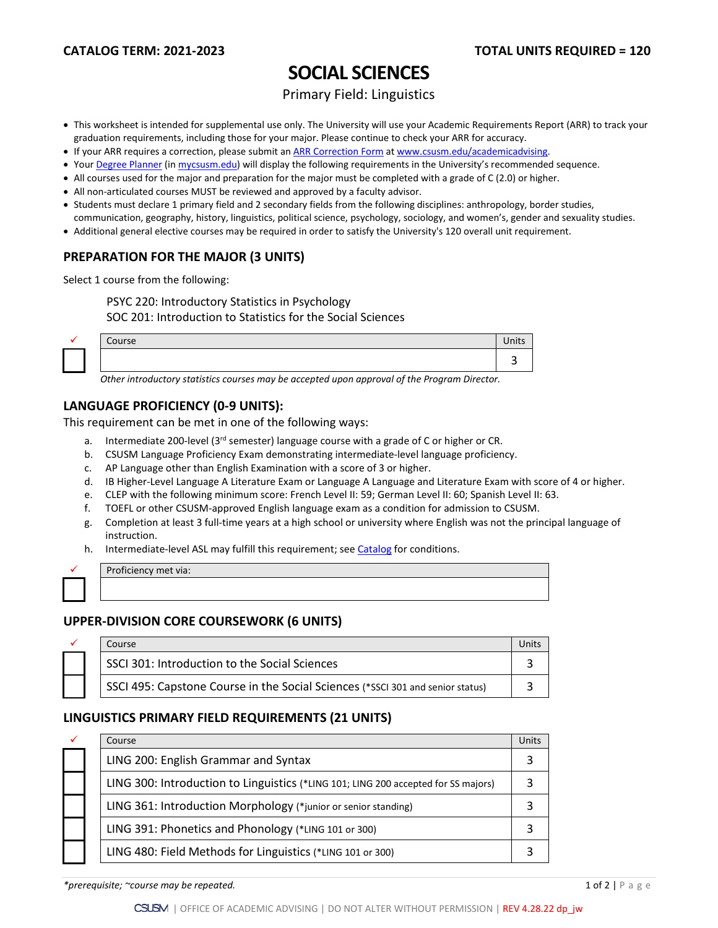# **SOCIAL SCIENCES**

## Primary Field: Linguistics

- This worksheet is intended for supplemental use only. The University will use your Academic Requirements Report (ARR) to track your graduation requirements, including those for your major. Please continue to check your ARR for accuracy.
- If your ARR requires a correction, please submit an [ARR Correction Form](http://www.csusm.edu/academicadvising/arrcorrection/index.html) a[t www.csusm.edu/academicadvising.](http://www.csusm.edu/academicadvising)
- You[r Degree Planner](https://www.csusm.edu/academicadvising/degreeplanner/index.html) (i[n mycsusm.edu\)](https://my.csusm.edu/) will display the following requirements in the University's recommended sequence.
- All courses used for the major and preparation for the major must be completed with a grade of C (2.0) or higher.
- All non-articulated courses MUST be reviewed and approved by a faculty advisor.
- Students must declare 1 primary field and 2 secondary fields from the following disciplines: anthropology, border studies,
- communication, geography, history, linguistics, political science, psychology, sociology, and women's, gender and sexuality studies.
- Additional general elective courses may be required in order to satisfy the University's 120 overall unit requirement.

#### **PREPARATION FOR THE MAJOR (3 UNITS)**

Select 1 course from the following:

PSYC 220: Introductory Statistics in Psychology

SOC 201: Introduction to Statistics for the Social Sciences

| $\sim$<br>, 96<br>ັ |  |
|---------------------|--|
|                     |  |

*Other introductory statistics courses may be accepted upon approval of the Program Director.*

#### **LANGUAGE PROFICIENCY (0-9 UNITS):**

This requirement can be met in one of the following ways:

- a. Intermediate 200-level ( $3<sup>rd</sup>$  semester) language course with a grade of C or higher or CR.
- b. CSUSM Language Proficiency Exam demonstrating intermediate-level language proficiency.
- c. AP Language other than English Examination with a score of 3 or higher.
- d. IB Higher-Level Language A Literature Exam or Language A Language and Literature Exam with score of 4 or higher.
- e. CLEP with the following minimum score: French Level II: 59; German Level II: 60; Spanish Level II: 63.
- f. TOEFL or other CSUSM-approved English language exam as a condition for admission to CSUSM.
- g. Completion at least 3 full-time years at a high school or university where English was not the principal language of instruction.
- h. Intermediate-level ASL may fulfill this requirement; see [Catalog](http://catalog.csusm.edu/) for conditions.

| Proficiency met via: |
|----------------------|
|                      |

### **UPPER-DIVISION CORE COURSEWORK (6 UNITS)**

|  | Course                                                                         |  |
|--|--------------------------------------------------------------------------------|--|
|  | SSCI 301: Introduction to the Social Sciences                                  |  |
|  | SSCI 495: Capstone Course in the Social Sciences (*SSCI 301 and senior status) |  |

### **LINGUISTICS PRIMARY FIELD REQUIREMENTS (21 UNITS)**

| ✓ | Course                                                                             | Units |
|---|------------------------------------------------------------------------------------|-------|
|   | LING 200: English Grammar and Syntax                                               |       |
|   | LING 300: Introduction to Linguistics (*LING 101; LING 200 accepted for SS majors) |       |
|   | LING 361: Introduction Morphology (*junior or senior standing)                     |       |
|   | LING 391: Phonetics and Phonology (*LING 101 or 300)                               |       |
|   | LING 480: Field Methods for Linguistics (*LING 101 or 300)                         |       |